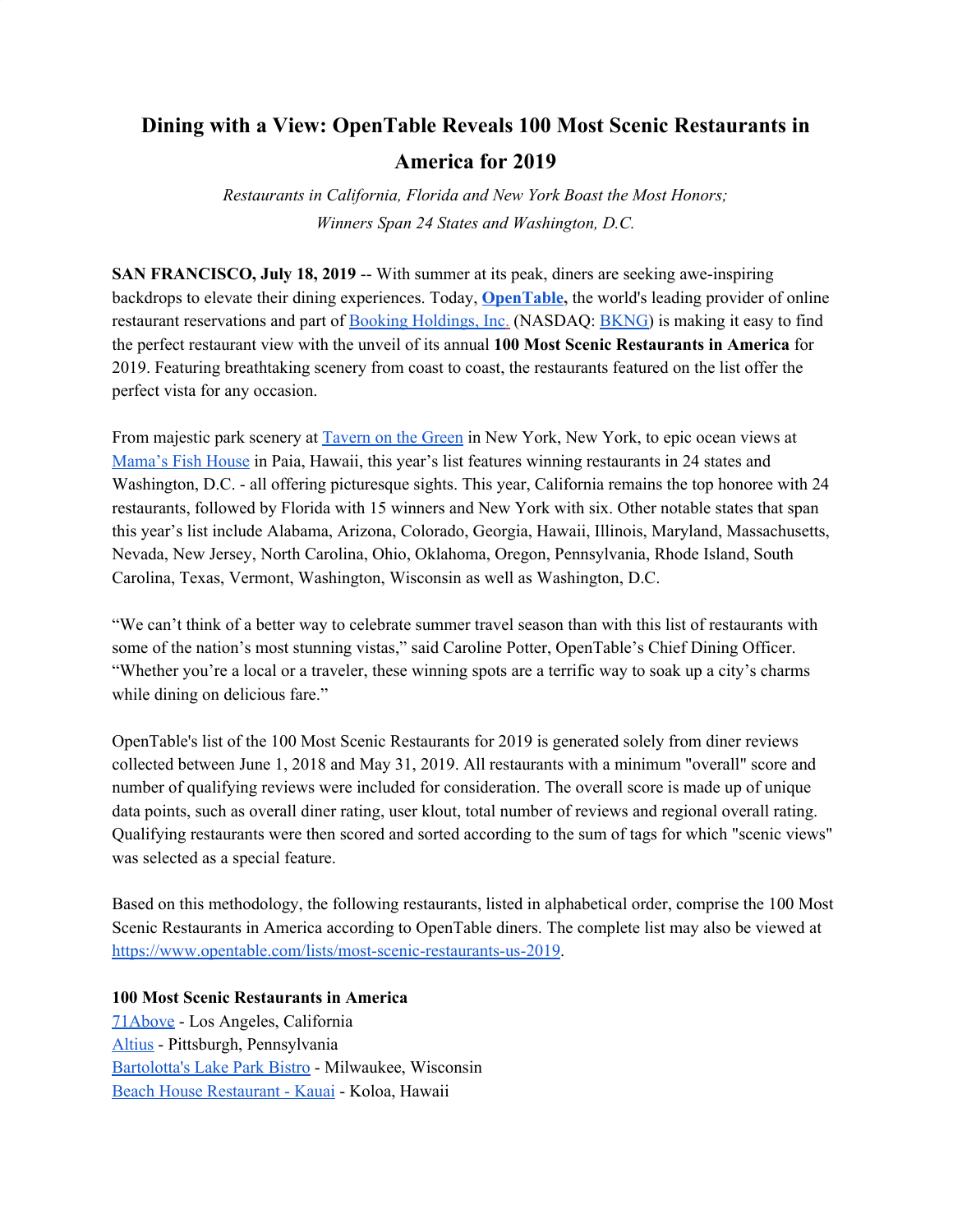## **Dining with a View: OpenTable Reveals 100 Most Scenic Restaurants in America for 2019**

*Restaurants in California, Florida and New York Boast the Most Honors; Winners Span 24 States and Washington, D.C.*

**SAN FRANCISCO, July 18, 2019** -- With summer at its peak, diners are seeking awe-inspiring backdrops to elevate their dining experiences. Today, **[OpenTable](http://www.opentable.com/),** the world's leading provider of online restaurant reservations and part o[f](https://www.bookingholdings.com/) Booking [Holdings,](https://www.bookingholdings.com/) Inc[.](https://www.bookingholdings.com/) (NASDAQ[:](http://ir.bookingholdings.com/investor-relations) [BKNG\)](http://ir.bookingholdings.com/investor-relations) is making it easy to find the perfect restaurant view with the unveil of its annual **100 Most Scenic Restaurants in America** for 2019. Featuring breathtaking scenery from coast to coast, the restaurants featured on the list offer the perfect vista for any occasion.

From majestic park scenery at [Tavern](https://www.opentable.com/tavern-on-the-green) on the Green in New York, New York, to epic ocean views at [Mama's](https://www.opentable.com/mamas-fish-house) Fish House [i](https://www.opentable.com/mamas-fish-house)n Paia, Hawaii, this year's list features winning restaurants in 24 states and Washington, D.C. - all offering picturesque sights. This year, California remains the top honoree with 24 restaurants, followed by Florida with 15 winners and New York with six. Other notable states that span this year's list include Alabama, Arizona, Colorado, Georgia, Hawaii, Illinois, Maryland, Massachusetts, Nevada, New Jersey, North Carolina, Ohio, Oklahoma, Oregon, Pennsylvania, Rhode Island, South Carolina, Texas, Vermont, Washington, Wisconsin as well as Washington, D.C.

"We can't think of a better way to celebrate summer travel season than with this list of restaurants with some of the nation's most stunning vistas," said Caroline Potter, OpenTable's Chief Dining Officer. "Whether you're a local or a traveler, these winning spots are a terrific way to soak up a city's charms while dining on delicious fare."

OpenTable's list of the 100 Most Scenic Restaurants for 2019 is generated solely from diner reviews collected between June 1, 2018 and May 31, 2019. All restaurants with a minimum "overall" score and number of qualifying reviews were included for consideration. The overall score is made up of unique data points, such as overall diner rating, user klout, total number of reviews and regional overall rating. Qualifying restaurants were then scored and sorted according to the sum of tags for which "scenic views" was selected as a special feature.

Based on this methodology, the following restaurants, listed in alphabetical order, comprise the 100 Most Scenic Restaurants in America according to OpenTable diners. The complete list may also be viewed at <https://www.opentable.com/lists/most-scenic-restaurants-us-2019>.

**100 Most Scenic Restaurants in America** [71Above](https://www.opentable.com/r/71above-los-angeles) - Los Angeles, California [Altius](https://www.opentable.com/r/altius-pittsburgh) - Pittsburgh, Pennsylvania [Bartolotta's](https://www.opentable.com/bartolottas-lake-park-bistro) Lake Park Bistro - Milwaukee, Wisconsin Beach House [Restaurant](https://www.opentable.com/r/beach-house-restaurant-kauai-koloa-2) - Kauai - Koloa, Hawaii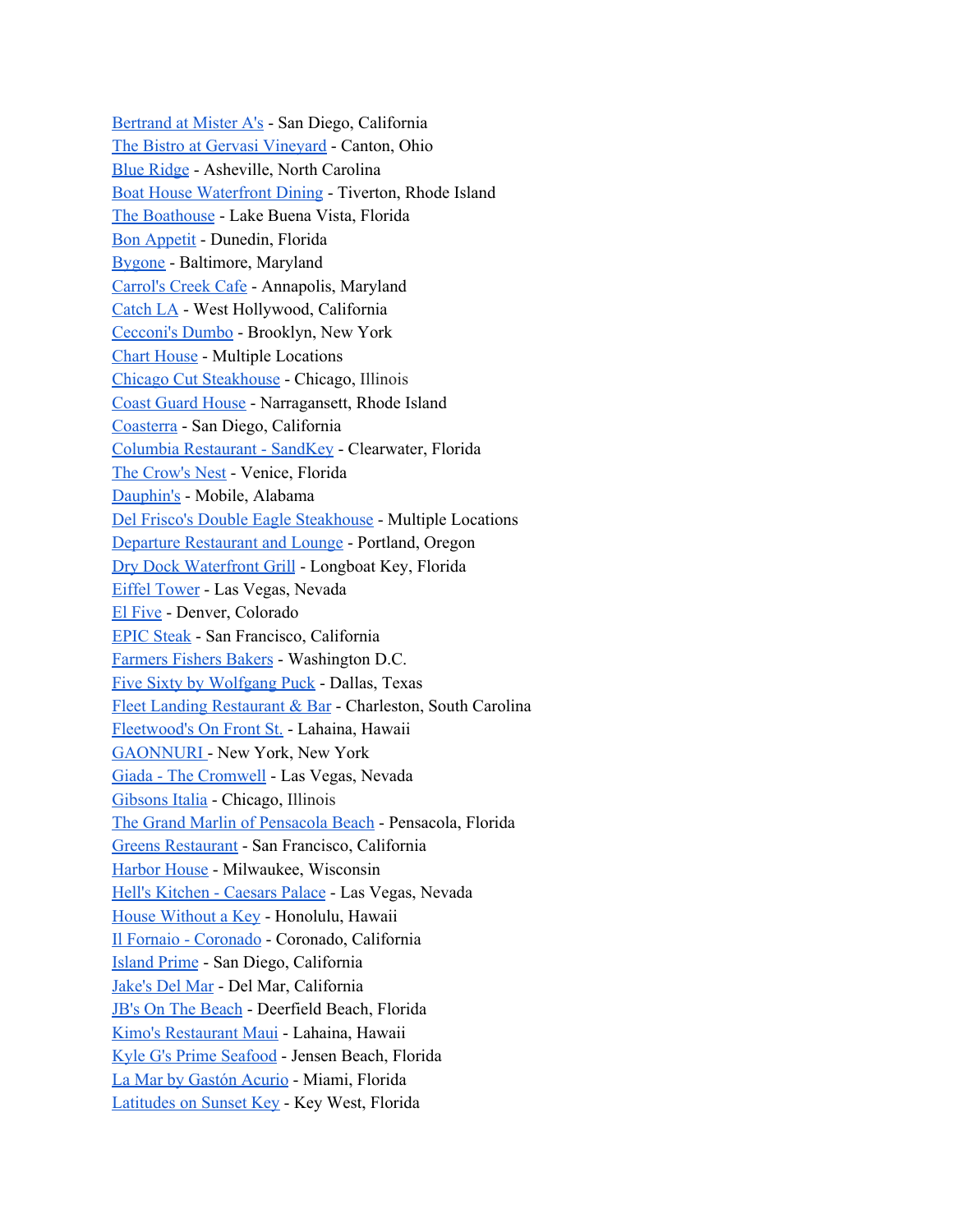[Bertrand](https://www.opentable.com/r/bertrand-at-mister-as-san-diego) at Mister A's - San Diego, California The Bistro at Gervasi [Vineyard](https://www.opentable.com/the-bistro-at-gervasi-vineyard) - Canton, Ohio Blue [Ridge](https://www.opentable.com/blue-ridge) - Asheville, North Carolina Boat House [Waterfront](https://www.opentable.com/boat-house-waterfront-dining) Dining - Tiverton, Rhode Island The [Boathouse](https://www.opentable.com/the-boathouse-lake-buena-vista) - Lake Buena Vista, Florida Bon [Appetit](https://www.opentable.com/bon-appetit) - Dunedin, Florida [Bygone](https://www.opentable.com/r/bygone-baltimore) - Baltimore, Maryland [Carrol's](https://www.opentable.com/carrols-creek-cafe) Creek Cafe - Annapolis, Maryland [Catch](https://www.opentable.com/r/catch-la-west-hollywood) LA - West Hollywood, California [Cecconi's](https://www.opentable.com/r/cecconis-dumbo-brooklyn) Dumbo - Brooklyn, New York Chart [House](https://www.opentable.com/lists/most-scenic-restaurants-us-2019) - Multiple Locations Chicago Cut [Steakhouse](https://www.opentable.com/chicago-cut-steakhouse) - Chicago, Illinois Coast Guard [House](https://www.opentable.com/coast-guard-house) - Narragansett, Rhode Island [Coasterra](https://www.opentable.com/coasterra) - San Diego, California Columbia [Restaurant](https://www.opentable.com/columbia-restaurant-sandkey) - SandKey - Clearwater, Florida The [Crow's](https://www.opentable.com/the-crows-nest) Nest - Venice, Florida [Dauphin's](https://www.opentable.com/r/dauphins-mobile) - Mobile, Alabama Del Frisco's Double Eagle [Steakhouse](https://www.opentable.com/lists/most-scenic-restaurants-us-2019) - Multiple Locations Departure [Restaurant](https://www.opentable.com/departure-restaurant-and-lounge) and Lounge - Portland, Oregon Dry Dock [Waterfront](https://www.opentable.com/r/drydock-waterfront-grill-longboat-key) Grill - Longboat Key, Florida Eiffel [Tower](https://www.opentable.com/eiffel-tower) - Las Vegas, Nevada El [Five](https://www.opentable.com/r/el-five-denver) - Denver, Colorado EPIC [Steak](https://www.opentable.com/r/epic-steak-san-francisco) - San Francisco, California [Farmers](https://www.opentable.com/r/farmers-fishers-bakers-washington) Fishers Bakers - Washington D.C. Five Sixty by [Wolfgang](https://www.opentable.com/five-sixty-by-wolfgang-puck) Puck - Dallas, Texas Fleet Landing [Restaurant](https://www.opentable.com/fleet-landing-restaurant-and-bar) & Bar - Charleston, South Carolina [Fleetwood's](https://www.opentable.com/fleetwoods-on-front-st) On Front St. - Lahaina, Hawaii [GAONNURI](https://www.opentable.com/gaonnuri) - New York, New York Giada - The [Cromwell](https://www.opentable.com/giada-the-cromwell) - Las Vegas, Nevada [Gibsons](https://www.opentable.com/r/gibsons-italia-chicago) Italia - Chicago, Illinois The Grand Marlin of [Pensacola](https://www.opentable.com/the-grand-marlin) Beach - Pensacola, Florida Greens [Restaurant](https://www.opentable.com/greens-restaurant-san-francisco) - San Francisco, California [Harbor](https://www.opentable.com/r/harbor-house-milwaukee) House - Milwaukee, Wisconsin Hell's [Kitchen](https://www.opentable.com/r/hells-kitchen-caesars-palace-las-vegas) - Caesars Palace - Las Vegas, Nevada House [Without](https://www.opentable.com/r/house-without-a-key-honolulu) a Key - Honolulu, Hawaii Il Fornaio - [Coronado](https://www.opentable.com/r/il-fornaio-coronado) - Coronado, California [Island](https://www.opentable.com/island-prime) Prime - San Diego, California [Jake's](https://www.opentable.com/jakes-del-mar) Del Mar - Del Mar, California JB's On The [Beach](https://www.opentable.com/jbs-on-the-beach) - Deerfield Beach, Florida Kimo's [Restaurant](https://www.opentable.com/kimos-restaurant-maui) Maui - Lahaina, Hawaii Kyle G's Prime [Seafood](https://www.opentable.com/r/kyle-gs-prime-seafood-jensen-beach) - Jensen Beach, Florida La Mar by [Gastón](https://www.opentable.com/la-mar-by-gaston-acurio) Acurio - Miami, Florida [Latitudes](https://www.opentable.com/r/latitudes-on-sunset-key-key-west) on Sunset Key - Key West, Florida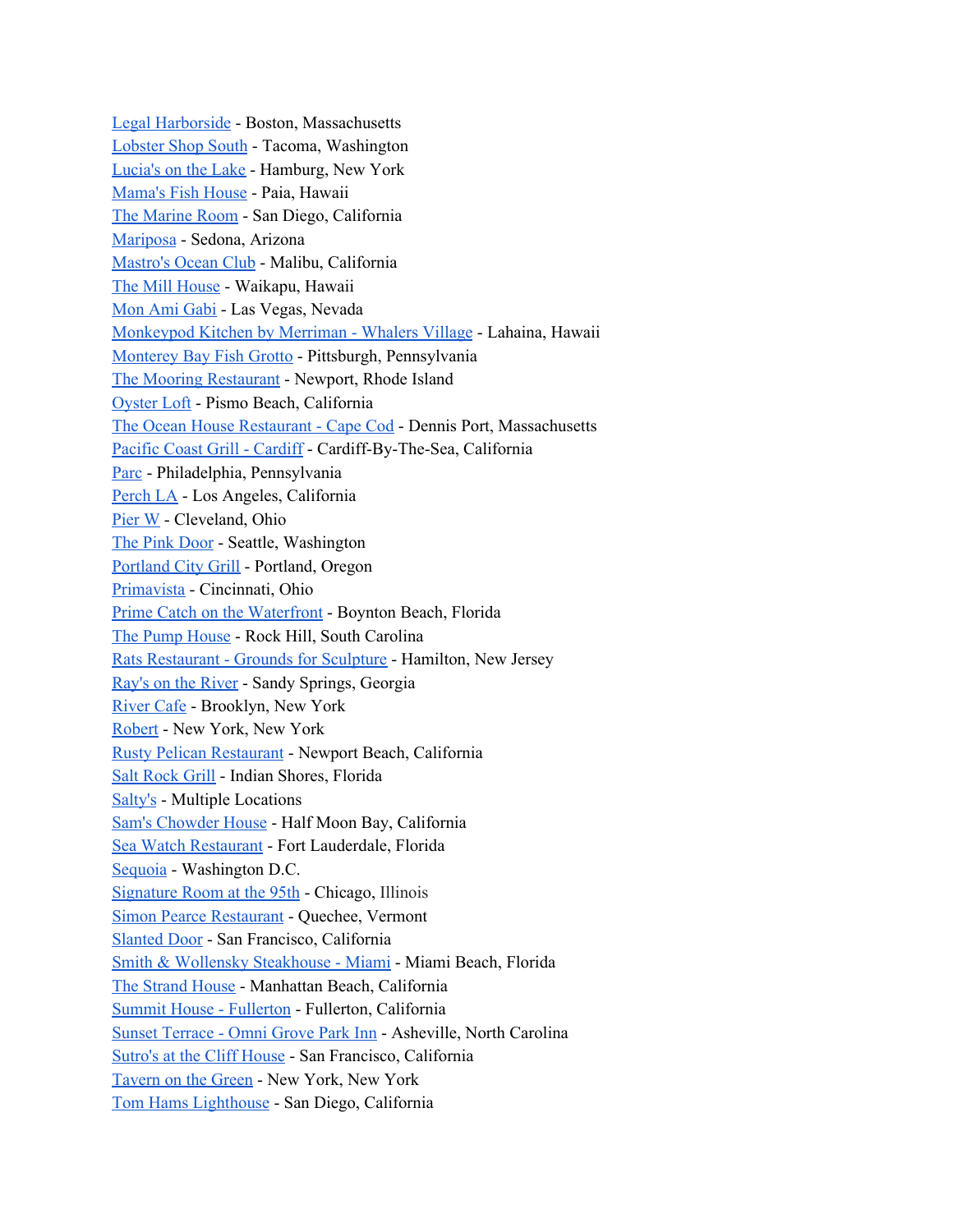Legal [Harborside](https://www.opentable.com/r/legal-harborside-floor-1-restaurant-and-market-boston) - Boston, Massachusetts [Lobster](https://www.opentable.com/lobster-shop-south) Shop South - Tacoma, Washington [Lucia's](https://www.opentable.com/r/lucias-on-the-lake-hamburg-2) on the Lake - Hamburg, New York [Mama's](https://www.opentable.com/mamas-fish-house) Fish House - Paia, Hawaii The [Marine](https://www.opentable.com/the-marine-room) Room - San Diego, California [Mariposa](https://www.opentable.com/mariposa-sedona) - Sedona, Arizona [Mastro's](https://www.opentable.com/r/mastros-ocean-club-malibu) Ocean Club - Malibu, California The Mill [House](https://www.opentable.com/the-mill-house) - Waikapu, Hawaii Mon Ami [Gabi](https://www.opentable.com/mon-ami-gabi-las-vegas-main-dining-room) - Las Vegas, Nevada [Monkeypod](https://www.opentable.com/r/monkeypod-kitchen-by-merriman-whalers-village-lahaina-2) Kitchen by Merriman - Whalers Village - Lahaina, Hawaii [Monterey](https://www.opentable.com/monterey-bay-fish-grotto-mt-washington) Bay Fish Grotto - Pittsburgh, Pennsylvania The Mooring [Restaurant](https://www.opentable.com/the-mooring-restaurant) - Newport, Rhode Island [Oyster](https://www.opentable.com/the-oyster-loft) Loft - Pismo Beach, California The Ocean House [Restaurant](https://www.opentable.com/the-ocean-house-restaurant) - Cape Cod - Dennis Port, Massachusetts Pacific Coast Grill - [Cardiff](https://www.opentable.com/pacific-coast-grill-cardiff) - Cardiff-By-The-Sea, California [Parc](https://www.opentable.com/parc) - Philadelphia, Pennsylvania [Perch](https://www.opentable.com/perch-la) LA - Los Angeles, California [Pier](https://www.opentable.com/pier-w) W - Cleveland, Ohio The Pink [Door](https://www.opentable.com/the-pink-door) - Seattle, Washington [Portland](https://www.opentable.com/portland-city-grill) City Grill - Portland, Oregon [Primavista](https://www.opentable.com/primavista) - Cincinnati, Ohio Prime Catch on the [Waterfront](https://www.opentable.com/prime-catch-on-the-waterfront) - Boynton Beach, Florida The Pump [House](https://www.opentable.com/r/the-pump-house-rock-hill) - Rock Hill, South Carolina Rats [Restaurant](https://www.opentable.com/rats-restaurant-grounds-for-sculpture) - Grounds for Sculpture - Hamilton, New Jersey Ray's on the [River](https://www.opentable.com/r/rays-on-the-river-sandy-springs) - Sandy Springs, Georgia [River](https://www.opentable.com/river-cafe-brooklyn) Cafe - Brooklyn, New York [Robert](https://www.opentable.com/r/robert-new-york) [-](https://www.opentable.com/r/robert-new-york) New York, New York Rusty Pelican [Restaurant](https://www.opentable.com/r/rusty-pelican-restaurant-newport-beach) - Newport Beach, California Salt [Rock](https://www.opentable.com/r/salt-rock-grill-indian-shores) Grill - Indian Shores, Florida [Salty's](https://www.opentable.com/lists/most-scenic-restaurants-us-2019) - Multiple Locations Sam's [Chowder](https://www.opentable.com/r/sams-chowder-house-half-moon-bay) House - Half Moon Bay, California Sea Watch [Restaurant](https://www.opentable.com/r/sea-watch-restaurant-fort-lauderdale) - Fort Lauderdale, Florida [Sequoia](https://www.opentable.com/sequoia) - Washington D.C. [Signature](https://www.opentable.com/signature-room-at-the-95th) Room at the 95th - Chicago, Illinois Simon Pearce [Restaurant](https://www.opentable.com/simon-pearce-restaurant-quechee) - Quechee, Vermont [Slanted](https://www.opentable.com/slanted-door) Door - San Francisco, California Smith & Wollensky [Steakhouse](https://www.opentable.com/r/smith-and-wollensky-steakhouse-miami-miami-beach) - Miami - Miami Beach, Florida The [Strand](https://www.opentable.com/the-strand-house) House - Manhattan Beach, California Summit House - [Fullerton](https://www.opentable.com/r/summit-house-fullerton) - Fullerton, California Sunset [Terrace](https://www.opentable.com/sunset-terrace-omni-grove-park-inn) - Omni Grove Park Inn - Asheville, North Carolina [Sutro's](https://www.opentable.com/r/sutros-at-the-cliff-house-san-francisco) at the Cliff House - San Francisco, California [Tavern](https://www.opentable.com/tavern-on-the-green) on the Green - New York, New York Tom Hams [Lighthouse](https://www.opentable.com/tom-hams-lighthouse) - San Diego, California